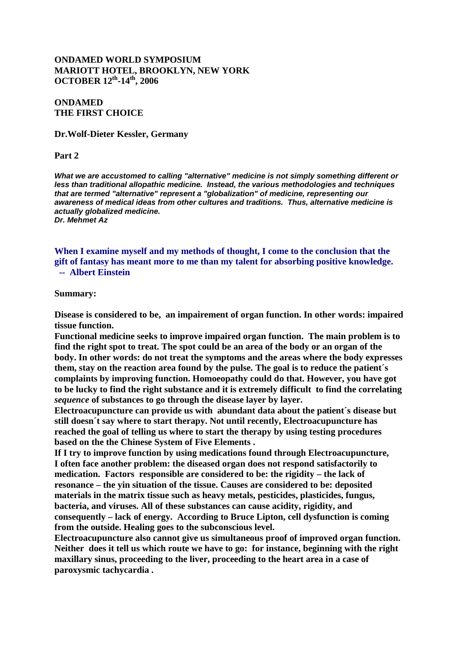## **ONDAMED WORLD SYMPOSIUM MARIOTT HOTEL, BROOKLYN, NEW YORK OCTOBER 12th -14th, 2006**

## **ONDAMED THE FIRST CHOICE**

#### **Dr.Wolf-Dieter Kessler, Germany**

#### **Part 2**

*What we are accustomed to calling "alternative" medicine is not simply something different or less than traditional allopathic medicine. Instead, the various methodologies and techniques that are termed "alternative" represent a "globalization" of medicine, representing our awareness of medical ideas from other cultures and traditions. Thus, alternative medicine is actually globalized medicine. Dr. Mehmet Az*

**When I examine myself and my methods of thought, I come to the conclusion that the gift of fantasy has meant more to me than my talent for absorbing positive knowledge. -- Albert Einstein**

#### **Summary:**

**Disease is considered to be, an impairement of organ function. In other words: impaired tissue function.**

**Functional medicine seeks to improve impaired organ function. The main problem is to find the right spot to treat. The spot could be an area of the body or an organ of the body. In other words: do not treat the symptoms and the areas where the body expresses them, stay on the reaction area found by the pulse. The goal is to reduce the patient´s complaints by improving function. Homoeopathy could do that. However, you have got to be lucky to find the right substance and it is extremely difficult to find the correlating**  *sequence* **of substances to go through the disease layer by layer.**

**Electroacupuncture can provide us with abundant data about the patient´s disease but still doesn´t say where to start therapy. Not until recently, Electroacupuncture has reached the goal of telling us where to start the therapy by using testing procedures based on the the Chinese System of Five Elements .**

**If I try to improve function by using medications found through Electroacupuncture, I often face another problem: the diseased organ does not respond satisfactorily to medication. Factors responsible are considered to be: the rigidity – the lack of resonance – the yin situation of the tissue. Causes are considered to be: deposited materials in the matrix tissue such as heavy metals, pesticides, plasticides, fungus, bacteria, and viruses. All of these substances can cause acidity, rigidity, and consequently – lack of energy. According to Bruce Lipton, cell dysfunction is coming from the outside. Healing goes to the subconscious level.** 

**Electroacupuncture also cannot give us simultaneous proof of improved organ function. Neither does it tell us which route we have to go: for instance, beginning with the right maxillary sinus, proceeding to the liver, proceeding to the heart area in a case of paroxysmic tachycardia .**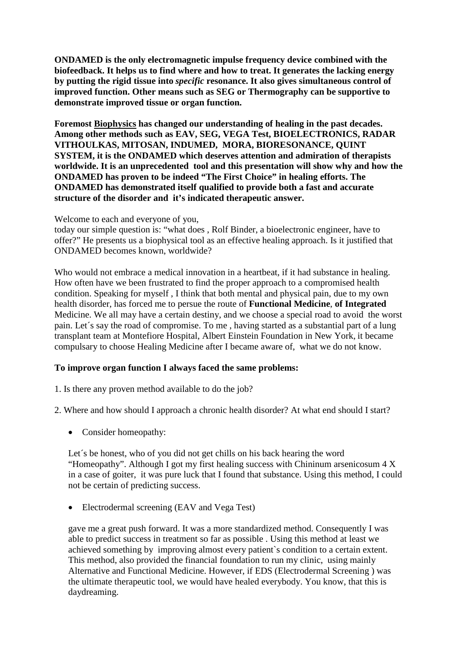**ONDAMED is the only electromagnetic impulse frequency device combined with the biofeedback. It helps us to find where and how to treat. It generates the lacking energy by putting the rigid tissue into** *specific* **resonance. It also gives simultaneous control of improved function. Other means such as SEG or Thermography can be supportive to demonstrate improved tissue or organ function.** 

**Foremost Biophysics has changed our understanding of healing in the past decades. Among other methods such as EAV, SEG, VEGA Test, BIOELECTRONICS, RADAR VITHOULKAS, MITOSAN, INDUMED, MORA, BIORESONANCE, QUINT SYSTEM, it is the ONDAMED which deserves attention and admiration of therapists worldwide. It is an unprecedented tool and this presentation will show why and how the ONDAMED has proven to be indeed "The First Choice" in healing efforts. The ONDAMED has demonstrated itself qualified to provide both a fast and accurate structure of the disorder and it's indicated therapeutic answer.** 

Welcome to each and everyone of you,

today our simple question is: "what does , Rolf Binder, a bioelectronic engineer, have to offer?" He presents us a biophysical tool as an effective healing approach. Is it justified that ONDAMED becomes known, worldwide?

Who would not embrace a medical innovation in a heartbeat, if it had substance in healing. How often have we been frustrated to find the proper approach to a compromised health condition. Speaking for myself , I think that both mental and physical pain, due to my own health disorder, has forced me to persue the route of **Functional Medicine**, **of Integrated** Medicine. We all may have a certain destiny, and we choose a special road to avoid the worst pain. Let´s say the road of compromise. To me , having started as a substantial part of a lung transplant team at Montefiore Hospital, Albert Einstein Foundation in New York, it became compulsary to choose Healing Medicine after I became aware of, what we do not know.

# **To improve organ function I always faced the same problems:**

1. Is there any proven method available to do the job?

2. Where and how should I approach a chronic health disorder? At what end should I start?

• Consider homeopathy:

Let's be honest, who of you did not get chills on his back hearing the word "Homeopathy". Although I got my first healing success with Chininum arsenicosum 4 X in a case of goiter, it was pure luck that I found that substance. Using this method, I could not be certain of predicting success.

• Electrodermal screening (EAV and Vega Test)

gave me a great push forward. It was a more standardized method. Consequently I was able to predict success in treatment so far as possible . Using this method at least we achieved something by improving almost every patient`s condition to a certain extent. This method, also provided the financial foundation to run my clinic, using mainly Alternative and Functional Medicine. However, if EDS (Electrodermal Screening ) was the ultimate therapeutic tool, we would have healed everybody. You know, that this is daydreaming.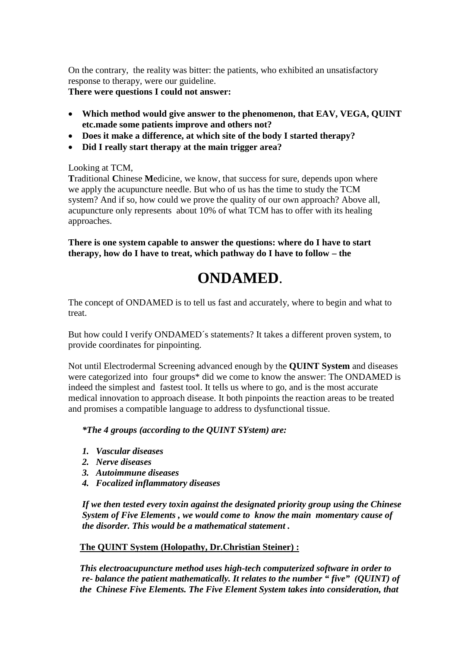On the contrary, the reality was bitter: the patients, who exhibited an unsatisfactory response to therapy, were our guideline.

**There were questions I could not answer:** 

- **Which method would give answer to the phenomenon, that EAV, VEGA, QUINT etc.made some patients improve and others not?**
- **Does it make a difference, at which site of the body I started therapy?**
- **Did I really start therapy at the main trigger area?**

# Looking at TCM,

 **T**raditional **C**hinese **M**edicine, we know, that success for sure, depends upon where we apply the acupuncture needle. But who of us has the time to study the TCM system? And if so, how could we prove the quality of our own approach? Above all, acupuncture only represents about 10% of what TCM has to offer with its healing approaches.

**There is one system capable to answer the questions: where do I have to start therapy, how do I have to treat, which pathway do I have to follow – the** 

# **ONDAMED**.

The concept of ONDAMED is to tell us fast and accurately, where to begin and what to treat.

But how could I verify ONDAMED´s statements? It takes a different proven system, to provide coordinates for pinpointing.

Not until Electrodermal Screening advanced enough by the **QUINT System** and diseases were categorized into four groups<sup>\*</sup> did we come to know the answer: The ONDAMED is indeed the simplest and fastest tool. It tells us where to go, and is the most accurate medical innovation to approach disease. It both pinpoints the reaction areas to be treated and promises a compatible language to address to dysfunctional tissue.

# *\*The 4 groups (according to the QUINT SYstem) are:*

- *1. Vascular diseases*
- *2. Nerve diseases*
- *3. Autoimmune diseases*
- *4. Focalized inflammatory diseases*

 *If we then tested every toxin against the designated priority group using the Chinese System of Five Elements , we would come to know the main momentary cause of the disorder. This would be a mathematical statement .*

# **The QUINT System (Holopathy, Dr.Christian Steiner) :**

 *This electroacupuncture method uses high-tech computerized software in order to re- balance the patient mathematically. It relates to the number " five" (QUINT) of the Chinese Five Elements. The Five Element System takes into consideration, that*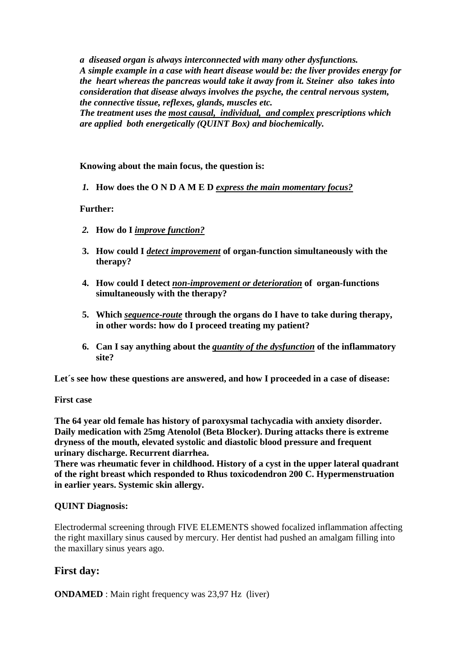*a diseased organ is always interconnected with many other dysfunctions. A simple example in a case with heart disease would be: the liver provides energy for the heart whereas the pancreas would take it away from it. Steiner also takes into consideration that disease always involves the psyche, the central nervous system, the connective tissue, reflexes, glands, muscles etc.* 

 *The treatment uses the most causal, individual, and complex prescriptions which are applied both energetically (QUINT Box) and biochemically.* 

## **Knowing about the main focus, the question is:**

*1.* **How does the O N D A M E D** *express the main momentary focus?*

## **Further:**

- *2.* **How do I** *improve function?*
- **3. How could I** *detect improvement* **of organ-function simultaneously with the therapy?**
- **4. How could I detect** *non-improvement or deterioration* **of organ-functions simultaneously with the therapy?**
- **5. Which** *sequence-route* **through the organs do I have to take during therapy, in other words: how do I proceed treating my patient?**
- **6. Can I say anything about the** *quantity of the dysfunction* **of the inflammatory site?**

**Let´s see how these questions are answered, and how I proceeded in a case of disease:** 

## **First case**

**The 64 year old female has history of paroxysmal tachycadia with anxiety disorder. Daily medication with 25mg Atenolol (Beta Blocker). During attacks there is extreme dryness of the mouth, elevated systolic and diastolic blood pressure and frequent urinary discharge. Recurrent diarrhea.**

**There was rheumatic fever in childhood. History of a cyst in the upper lateral quadrant of the right breast which responded to Rhus toxicodendron 200 C. Hypermenstruation in earlier years. Systemic skin allergy.**

## **QUINT Diagnosis:**

Electrodermal screening through FIVE ELEMENTS showed focalized inflammation affecting the right maxillary sinus caused by mercury. Her dentist had pushed an amalgam filling into the maxillary sinus years ago.

# **First day:**

**ONDAMED** : Main right frequency was 23,97 Hz (liver)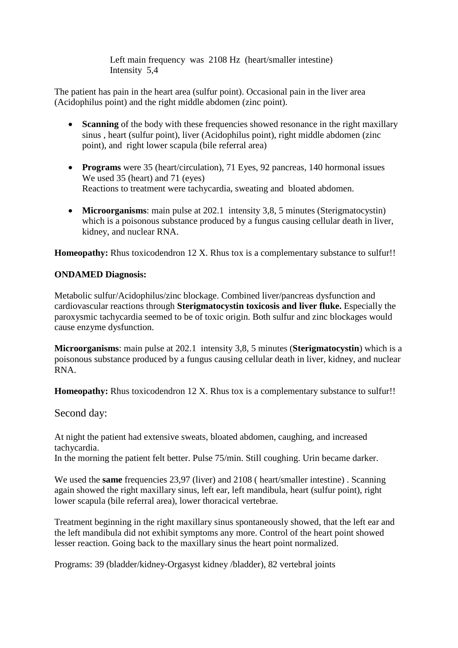Left main frequency was 2108 Hz (heart/smaller intestine) Intensity 5,4

The patient has pain in the heart area (sulfur point). Occasional pain in the liver area (Acidophilus point) and the right middle abdomen (zinc point).

- **Scanning** of the body with these frequencies showed resonance in the right maxillary sinus , heart (sulfur point), liver (Acidophilus point), right middle abdomen (zinc point), and right lower scapula (bile referral area)
- **Programs** were 35 (heart/circulation), 71 Eyes, 92 pancreas, 140 hormonal issues We used 35 (heart) and 71 (eyes) Reactions to treatment were tachycardia, sweating and bloated abdomen.
- **Microorganisms**: main pulse at 202.1 intensity 3,8, 5 minutes (Sterigmatocystin) which is a poisonous substance produced by a fungus causing cellular death in liver, kidney, and nuclear RNA.

**Homeopathy:** Rhus toxicodendron 12 X. Rhus tox is a complementary substance to sulfur!!

# **ONDAMED Diagnosis:**

Metabolic sulfur/Acidophilus/zinc blockage. Combined liver/pancreas dysfunction and cardiovascular reactions through **Sterigmatocystin toxicosis and liver fluke.** Especially the paroxysmic tachycardia seemed to be of toxic origin. Both sulfur and zinc blockages would cause enzyme dysfunction.

**Microorganisms**: main pulse at 202.1 intensity 3,8, 5 minutes (**Sterigmatocystin**) which is a poisonous substance produced by a fungus causing cellular death in liver, kidney, and nuclear RNA.

**Homeopathy:** Rhus toxicodendron 12 X. Rhus tox is a complementary substance to sulfur!!

Second day:

At night the patient had extensive sweats, bloated abdomen, caughing, and increased tachycardia.

In the morning the patient felt better. Pulse 75/min. Still coughing. Urin became darker.

We used the **same** frequencies 23,97 (liver) and 2108 (heart/smaller intestine). Scanning again showed the right maxillary sinus, left ear, left mandibula, heart (sulfur point), right lower scapula (bile referral area), lower thoracical vertebrae.

Treatment beginning in the right maxillary sinus spontaneously showed, that the left ear and the left mandibula did not exhibit symptoms any more. Control of the heart point showed lesser reaction. Going back to the maxillary sinus the heart point normalized.

Programs: 39 (bladder/kidney-Orgasyst kidney /bladder), 82 vertebral joints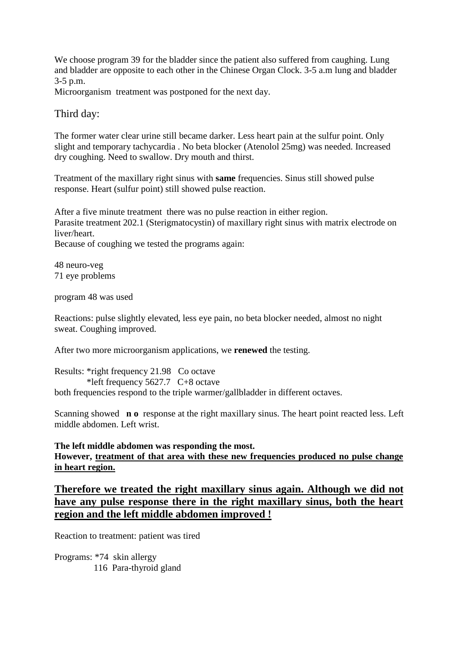We choose program 39 for the bladder since the patient also suffered from caughing. Lung and bladder are opposite to each other in the Chinese Organ Clock. 3-5 a.m lung and bladder 3-5 p.m.

Microorganism treatment was postponed for the next day.

# Third day:

The former water clear urine still became darker. Less heart pain at the sulfur point. Only slight and temporary tachycardia . No beta blocker (Atenolol 25mg) was needed. Increased dry coughing. Need to swallow. Dry mouth and thirst.

Treatment of the maxillary right sinus with **same** frequencies. Sinus still showed pulse response. Heart (sulfur point) still showed pulse reaction.

After a five minute treatment there was no pulse reaction in either region. Parasite treatment 202.1 (Sterigmatocystin) of maxillary right sinus with matrix electrode on liver/heart.

Because of coughing we tested the programs again:

48 neuro-veg 71 eye problems

program 48 was used

Reactions: pulse slightly elevated, less eye pain, no beta blocker needed, almost no night sweat. Coughing improved.

After two more microorganism applications, we **renewed** the testing.

Results: \*right frequency 21.98 Co octave \*left frequency 5627.7 C+8 octave both frequencies respond to the triple warmer/gallbladder in different octaves.

Scanning showed **n o** response at the right maxillary sinus. The heart point reacted less. Left middle abdomen. Left wrist.

## **The left middle abdomen was responding the most.**

**However, treatment of that area with these new frequencies produced no pulse change in heart region.**

# **Therefore we treated the right maxillary sinus again. Although we did not have any pulse response there in the right maxillary sinus, both the heart region and the left middle abdomen improved !**

Reaction to treatment: patient was tired

Programs: \*74 skin allergy 116 Para-thyroid gland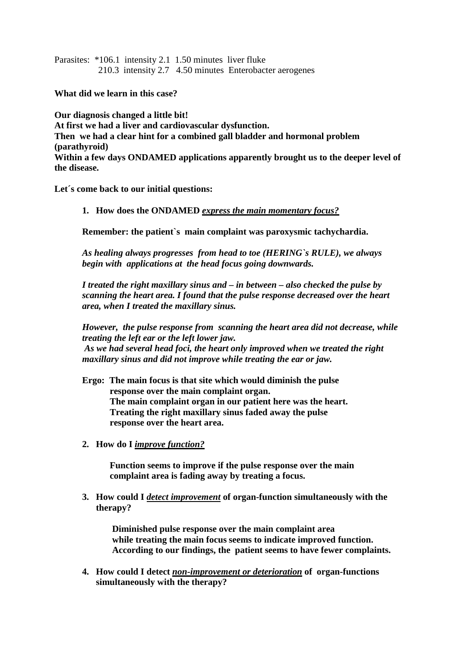Parasites: \*106.1 intensity 2.1 1.50 minutes liver fluke 210.3 intensity 2.7 4.50 minutes Enterobacter aerogenes

**What did we learn in this case?** 

**Our diagnosis changed a little bit! At first we had a liver and cardiovascular dysfunction. Then we had a clear hint for a combined gall bladder and hormonal problem (parathyroid) Within a few days ONDAMED applications apparently brought us to the deeper level of the disease.**

**Let´s come back to our initial questions:**

**1. How does the ONDAMED** *express the main momentary focus?*

**Remember: the patient`s main complaint was paroxysmic tachychardia.**

*As healing always progresses from head to toe (HERING`s RULE), we always begin with applications at the head focus going downwards.*

*I treated the right maxillary sinus and – in between – also checked the pulse by scanning the heart area. I found that the pulse response decreased over the heart area, when I treated the maxillary sinus.*

*However, the pulse response from scanning the heart area did not decrease, while treating the left ear or the left lower jaw. As we had several head foci, the heart only improved when we treated the right maxillary sinus and did not improve while treating the ear or jaw.* 

**Ergo: The main focus is that site which would diminish the pulse response over the main complaint organ. The main complaint organ in our patient here was the heart. Treating the right maxillary sinus faded away the pulse response over the heart area.**

**2. How do I** *improve function?*

**Function seems to improve if the pulse response over the main complaint area is fading away by treating a focus.**

**3. How could I** *detect improvement* **of organ-function simultaneously with the therapy?**

 **Diminished pulse response over the main complaint area while treating the main focus seems to indicate improved function. According to our findings, the patient seems to have fewer complaints.** 

**4. How could I detect** *non-improvement or deterioration* **of organ-functions simultaneously with the therapy?**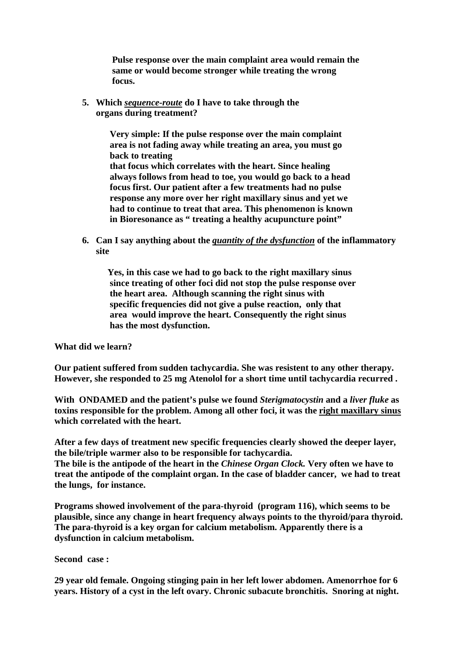**Pulse response over the main complaint area would remain the same or would become stronger while treating the wrong focus.** 

**5. Which** *sequence-route* **do I have to take through the organs during treatment?**

> **Very simple: If the pulse response over the main complaint area is not fading away while treating an area, you must go back to treating that focus which correlates with the heart. Since healing always follows from head to toe, you would go back to a head focus first. Our patient after a few treatments had no pulse response any more over her right maxillary sinus and yet we had to continue to treat that area. This phenomenon is known in Bioresonance as " treating a healthy acupuncture point"**

**6. Can I say anything about the** *quantity of the dysfunction* **of the inflammatory site** 

 **Yes, in this case we had to go back to the right maxillary sinus since treating of other foci did not stop the pulse response over the heart area. Although scanning the right sinus with specific frequencies did not give a pulse reaction, only that area would improve the heart. Consequently the right sinus has the most dysfunction.** 

**What did we learn?**

**Our patient suffered from sudden tachycardia. She was resistent to any other therapy. However, she responded to 25 mg Atenolol for a short time until tachycardia recurred .**

**With ONDAMED and the patient's pulse we found** *Sterigmatocystin* **and a** *liver fluke* **as toxins responsible for the problem. Among all other foci, it was the right maxillary sinus which correlated with the heart.**

**After a few days of treatment new specific frequencies clearly showed the deeper layer, the bile/triple warmer also to be responsible for tachycardia.**

**The bile is the antipode of the heart in the** *Chinese Organ Clock.* **Very often we have to treat the antipode of the complaint organ. In the case of bladder cancer, we had to treat the lungs, for instance.** 

**Programs showed involvement of the para-thyroid (program 116), which seems to be plausible, since any change in heart frequency always points to the thyroid/para thyroid. The para-thyroid is a key organ for calcium metabolism. Apparently there is a dysfunction in calcium metabolism.** 

**Second case :**

**29 year old female. Ongoing stinging pain in her left lower abdomen. Amenorrhoe for 6 years. History of a cyst in the left ovary. Chronic subacute bronchitis. Snoring at night.**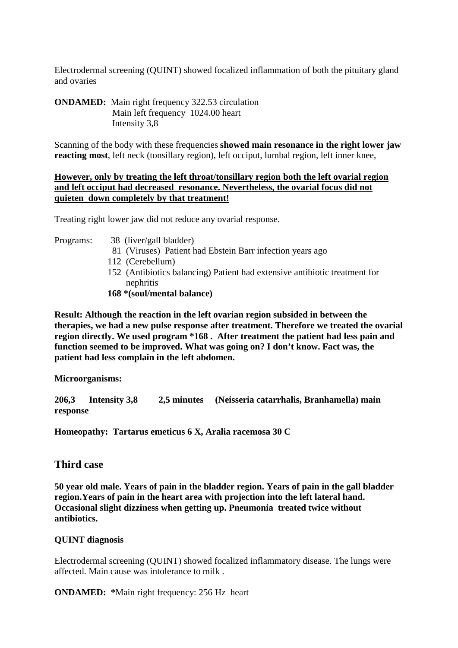Electrodermal screening (QUINT) showed focalized inflammation of both the pituitary gland and ovaries

**ONDAMED:** Main right frequency 322.53 circulation Main left frequency 1024.00 heart Intensity 3,8

Scanning of the body with these frequencies **showed main resonance in the right lower jaw reacting most**, left neck (tonsillary region), left occiput, lumbal region, left inner knee,

## **However, only by treating the left throat/tonsillary region both the left ovarial region and left occiput had decreased resonance. Nevertheless, the ovarial focus did not quieten down completely by that treatment!**

Treating right lower jaw did not reduce any ovarial response.

- Programs: 38 (liver/gall bladder)
	- 81 (Viruses) Patient had Ebstein Barr infection years ago
	- 112 (Cerebellum)
	- 152 (Antibiotics balancing) Patient had extensive antibiotic treatment for nephritis
	- **168 \*(soul/mental balance)**

**Result: Although the reaction in the left ovarian region subsided in between the therapies, we had a new pulse response after treatment. Therefore we treated the ovarial region directly. We used program \*168 . After treatment the patient had less pain and function seemed to be improved. What was going on? I don't know. Fact was, the patient had less complain in the left abdomen.** 

**Microorganisms:**

**206,3 Intensity 3,8 2,5 minutes (Neisseria catarrhalis, Branhamella) main response** 

**Homeopathy: Tartarus emeticus 6 X, Aralia racemosa 30 C** 

# **Third case**

**50 year old male. Years of pain in the bladder region. Years of pain in the gall bladder region.Years of pain in the heart area with projection into the left lateral hand. Occasional slight dizziness when getting up. Pneumonia treated twice without antibiotics.**

## **QUINT diagnosis**

Electrodermal screening (QUINT) showed focalized inflammatory disease. The lungs were affected. Main cause was intolerance to milk .

**ONDAMED: \***Main right frequency: 256 Hz heart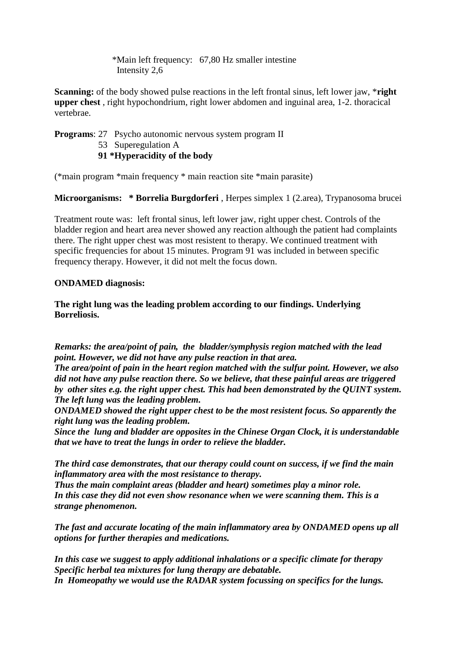\*Main left frequency: 67,80 Hz smaller intestine Intensity 2,6

**Scanning:** of the body showed pulse reactions in the left frontal sinus, left lower jaw, \***right upper chest** , right hypochondrium, right lower abdomen and inguinal area, 1-2. thoracical vertebrae.

## **Programs**: 27 Psycho autonomic nervous system program II 53 Superegulation A **91 \*Hyperacidity of the body**

(\*main program \*main frequency \* main reaction site \*main parasite)

**Microorganisms: \* Borrelia Burgdorferi** , Herpes simplex 1 (2.area), Trypanosoma brucei

Treatment route was: left frontal sinus, left lower jaw, right upper chest. Controls of the bladder region and heart area never showed any reaction although the patient had complaints there. The right upper chest was most resistent to therapy. We continued treatment with specific frequencies for about 15 minutes. Program 91 was included in between specific frequency therapy. However, it did not melt the focus down.

## **ONDAMED diagnosis:**

**The right lung was the leading problem according to our findings. Underlying Borreliosis.**

*Remarks: the area/point of pain, the bladder/symphysis region matched with the lead point. However, we did not have any pulse reaction in that area.*

*The area/point of pain in the heart region matched with the sulfur point. However, we also did not have any pulse reaction there. So we believe, that these painful areas are triggered by other sites e.g. the right upper chest. This had been demonstrated by the QUINT system. The left lung was the leading problem.*

*ONDAMED showed the right upper chest to be the most resistent focus. So apparently the right lung was the leading problem.*

*Since the lung and bladder are opposites in the Chinese Organ Clock, it is understandable that we have to treat the lungs in order to relieve the bladder.* 

*The third case demonstrates, that our therapy could count on success, if we find the main inflammatory area with the most resistance to therapy.* 

*Thus the main complaint areas (bladder and heart) sometimes play a minor role. In this case they did not even show resonance when we were scanning them. This is a strange phenomenon.*

*The fast and accurate locating of the main inflammatory area by ONDAMED opens up all options for further therapies and medications.*

*In this case we suggest to apply additional inhalations or a specific climate for therapy Specific herbal tea mixtures for lung therapy are debatable. In Homeopathy we would use the RADAR system focussing on specifics for the lungs.*